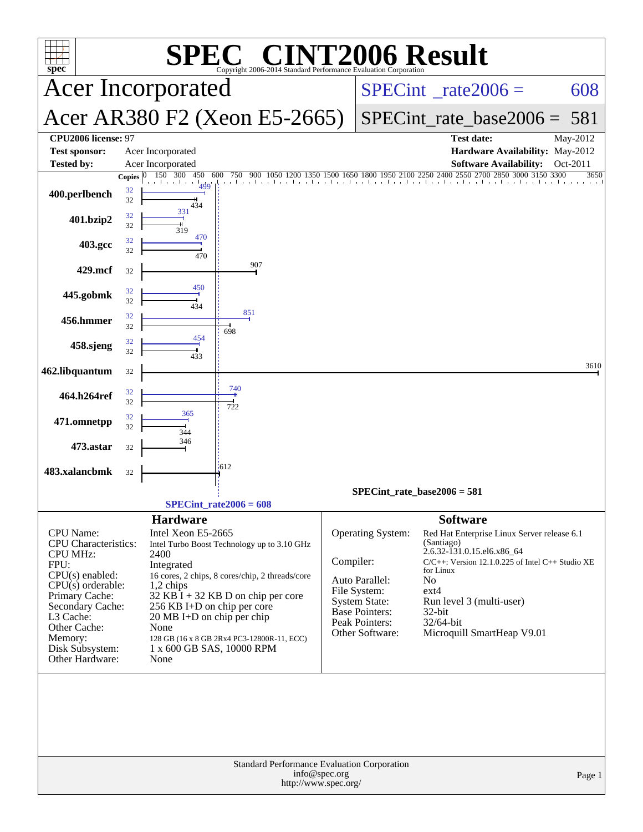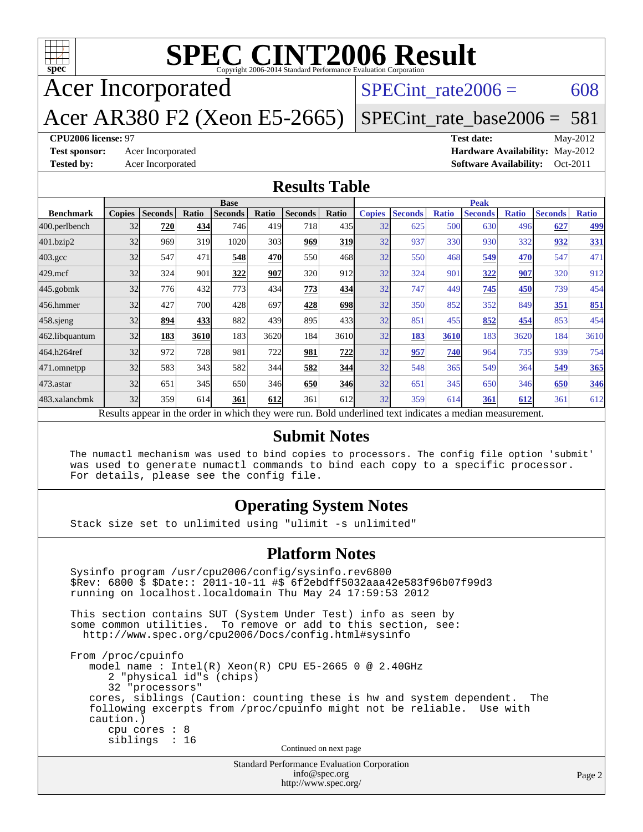

# **[SPEC CINT2006 Result](http://www.spec.org/auto/cpu2006/Docs/result-fields.html#SPECCINT2006Result)**

Acer Incorporated

SPECint rate $2006 = 608$ 

Acer AR380 F2 (Xeon E5-2665)

[SPECint\\_rate\\_base2006 =](http://www.spec.org/auto/cpu2006/Docs/result-fields.html#SPECintratebase2006) 581

#### **[CPU2006 license:](http://www.spec.org/auto/cpu2006/Docs/result-fields.html#CPU2006license)** 97 **[Test date:](http://www.spec.org/auto/cpu2006/Docs/result-fields.html#Testdate)** May-2012

**[Test sponsor:](http://www.spec.org/auto/cpu2006/Docs/result-fields.html#Testsponsor)** Acer Incorporated **[Hardware Availability:](http://www.spec.org/auto/cpu2006/Docs/result-fields.html#HardwareAvailability)** May-2012 **[Tested by:](http://www.spec.org/auto/cpu2006/Docs/result-fields.html#Testedby)** Acer Incorporated **[Software Availability:](http://www.spec.org/auto/cpu2006/Docs/result-fields.html#SoftwareAvailability)** Oct-2011

#### **[Results Table](http://www.spec.org/auto/cpu2006/Docs/result-fields.html#ResultsTable)**

|                    | <b>Base</b>                                                                                              |                |              |                |       |                |              |               | <b>Peak</b>    |              |                |              |                |              |  |
|--------------------|----------------------------------------------------------------------------------------------------------|----------------|--------------|----------------|-------|----------------|--------------|---------------|----------------|--------------|----------------|--------------|----------------|--------------|--|
| <b>Benchmark</b>   | <b>Copies</b>                                                                                            | <b>Seconds</b> | <b>Ratio</b> | <b>Seconds</b> | Ratio | <b>Seconds</b> | Ratio        | <b>Copies</b> | <b>Seconds</b> | <b>Ratio</b> | <b>Seconds</b> | <b>Ratio</b> | <b>Seconds</b> | <b>Ratio</b> |  |
| 400.perlbench      | 32                                                                                                       | 720            | 434          | 746            | 419   | 718            | 435 <b>I</b> | 32            | 625            | 500          | 630            | 496          | 627            | <u>499</u>   |  |
| 401.bzip2          | 32                                                                                                       | 969            | 319          | 1020           | 303   | 969            | 319          | 32            | 937            | 330          | 930            | 332          | 932            | 331          |  |
| $403.\mathrm{gcc}$ | 32                                                                                                       | 547            | 471          | 548            | 470   | 550            | 468          | 32            | 550            | 468          | 549            | 470          | 547            | 471          |  |
| $429$ .mcf         | 32                                                                                                       | 324            | 901          | 322            | 907   | 320            | 912          | 32            | 324            | 901          | 322            | 907          | 320            | 912          |  |
| 445.gobmk          | 32                                                                                                       | 776            | 432          | 773            | 434   | 773            | 434          | 32            | 747            | 449          | 745            | 450          | 739            | 454          |  |
| 456.hmmer          | 32                                                                                                       | 427            | 700          | 428            | 697   | 428            | <b>698</b>   | 32            | 350            | 852          | 352            | 849          | 351            | 851          |  |
| 458 sjeng          | 32                                                                                                       | 894            | 433          | 882            | 439   | 895            | 433          | 32            | 851            | 455          | 852            | 454          | 853            | 454          |  |
| 462.libquantum     | 32                                                                                                       | 183            | 3610         | 183            | 3620  | 184            | 3610         | 32            | 183            | 3610         | 183            | 3620         | 184            | 3610         |  |
| 464.h264ref        | 32                                                                                                       | 972            | 728          | 981            | 722   | 981            | 722          | 32            | 957            | 740          | 964            | 735          | 939            | 754          |  |
| 471.omnetpp        | 32                                                                                                       | 583            | 343          | 582            | 344   | 582            | 344          | 32            | 548            | 365          | 549            | 364          | 549            | 365          |  |
| $473$ . astar      | 32                                                                                                       | 651            | 345          | 650            | 346   | 650            | 346          | 32            | 651            | 345          | 650            | 346          | 650            | 346          |  |
| 483.xalancbmk      | 32                                                                                                       | 359            | 614          | 361            | 612   | 361            | 612          | 32            | 359            | 614          | 361            | 612          | 361            | 612          |  |
|                    | Results appear in the order in which they were run. Bold underlined text indicates a median measurement. |                |              |                |       |                |              |               |                |              |                |              |                |              |  |

#### **[Submit Notes](http://www.spec.org/auto/cpu2006/Docs/result-fields.html#SubmitNotes)**

 The numactl mechanism was used to bind copies to processors. The config file option 'submit' was used to generate numactl commands to bind each copy to a specific processor. For details, please see the config file.

#### **[Operating System Notes](http://www.spec.org/auto/cpu2006/Docs/result-fields.html#OperatingSystemNotes)**

Stack size set to unlimited using "ulimit -s unlimited"

#### **[Platform Notes](http://www.spec.org/auto/cpu2006/Docs/result-fields.html#PlatformNotes)**

Standard Performance Evaluation Corporation Sysinfo program /usr/cpu2006/config/sysinfo.rev6800 \$Rev: 6800 \$ \$Date:: 2011-10-11 #\$ 6f2ebdff5032aaa42e583f96b07f99d3 running on localhost.localdomain Thu May 24 17:59:53 2012 This section contains SUT (System Under Test) info as seen by some common utilities. To remove or add to this section, see: <http://www.spec.org/cpu2006/Docs/config.html#sysinfo> From /proc/cpuinfo model name : Intel(R) Xeon(R) CPU E5-2665 0 @ 2.40GHz 2 "physical id"s (chips) 32 "processors" cores, siblings (Caution: counting these is hw and system dependent. The following excerpts from /proc/cpuinfo might not be reliable. Use with caution.) cpu cores : 8 siblings : 16 Continued on next page

[info@spec.org](mailto:info@spec.org) <http://www.spec.org/>

Page 2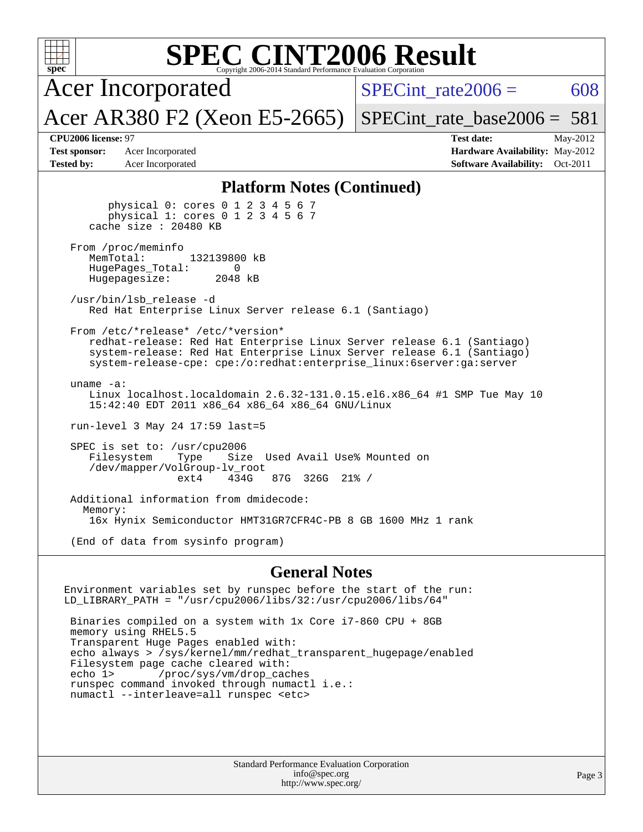| <b>SPEC CINT2006 Result</b><br>$spec*$<br>Copyright 2006-2014 Standard Performance Evaluation Corporation                                                                                                                                                      |                                                                                                     |  |  |  |  |
|----------------------------------------------------------------------------------------------------------------------------------------------------------------------------------------------------------------------------------------------------------------|-----------------------------------------------------------------------------------------------------|--|--|--|--|
| <b>Acer Incorporated</b>                                                                                                                                                                                                                                       | $SPECint rate 2006 =$<br>608                                                                        |  |  |  |  |
| Acer AR380 F2 (Xeon E5-2665)                                                                                                                                                                                                                                   | $SPECint_rate_base2006 = 581$                                                                       |  |  |  |  |
| CPU2006 license: 97<br><b>Test sponsor:</b><br>Acer Incorporated<br><b>Tested by:</b><br>Acer Incorporated                                                                                                                                                     | <b>Test date:</b><br>May-2012<br>Hardware Availability: May-2012<br>Software Availability: Oct-2011 |  |  |  |  |
| <b>Platform Notes (Continued)</b><br>physical 0: cores 0 1 2 3 4 5 6 7<br>physical 1: cores 0 1 2 3 4 5 6 7<br>cache size : 20480 KB                                                                                                                           |                                                                                                     |  |  |  |  |
| From /proc/meminfo<br>MemTotal:<br>132139800 kB<br>HugePages Total:<br>0<br>2048 kB<br>Hugepagesize:                                                                                                                                                           |                                                                                                     |  |  |  |  |
| /usr/bin/lsb release -d<br>Red Hat Enterprise Linux Server release 6.1 (Santiago)                                                                                                                                                                              |                                                                                                     |  |  |  |  |
| From /etc/*release* /etc/*version*<br>redhat-release: Red Hat Enterprise Linux Server release 6.1 (Santiago)<br>system-release: Red Hat Enterprise Linux Server release 6.1 (Santiago)<br>system-release-cpe: cpe:/o:redhat:enterprise_linux:6server:ga:server |                                                                                                     |  |  |  |  |
| uname $-a$ :<br>Linux localhost.localdomain 2.6.32-131.0.15.el6.x86_64 #1 SMP Tue May 10<br>15:42:40 EDT 2011 x86_64 x86_64 x86_64 GNU/Linux                                                                                                                   |                                                                                                     |  |  |  |  |
| run-level 3 May 24 17:59 last=5                                                                                                                                                                                                                                |                                                                                                     |  |  |  |  |
| SPEC is set to: /usr/cpu2006<br>Used Avail Use% Mounted on<br>Filesystem<br>Type<br>Size<br>/dev/mapper/VolGroup-lv_root<br>434G<br>ext4<br>87G 326G 21% /                                                                                                     |                                                                                                     |  |  |  |  |
| Additional information from dmidecode:<br>Memory:<br>16x Hynix Semiconductor HMT31GR7CFR4C-PB 8 GB 1600 MHz 1 rank                                                                                                                                             |                                                                                                     |  |  |  |  |
| (End of data from sysinfo program)                                                                                                                                                                                                                             |                                                                                                     |  |  |  |  |
| <b>General Notes</b>                                                                                                                                                                                                                                           |                                                                                                     |  |  |  |  |
| Environment variables set by runspec before the start of the run:                                                                                                                                                                                              |                                                                                                     |  |  |  |  |

 Binaries compiled on a system with 1x Core i7-860 CPU + 8GB memory using RHEL5.5 Transparent Huge Pages enabled with: echo always > /sys/kernel/mm/redhat\_transparent\_hugepage/enabled Filesystem page cache cleared with:<br>echo 1> /proc/sys/vm/drop\_cac /proc/sys/vm/drop\_caches runspec command invoked through numactl i.e.: numactl --interleave=all runspec <etc>

LD\_LIBRARY\_PATH = "/usr/cpu2006/libs/32:/usr/cpu2006/libs/64"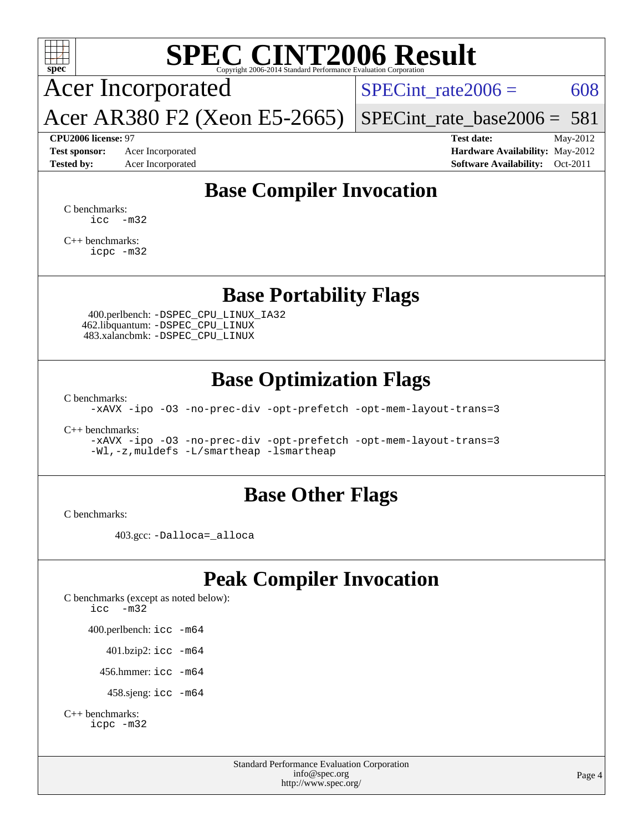

## **[SPEC CINT2006 Result](http://www.spec.org/auto/cpu2006/Docs/result-fields.html#SPECCINT2006Result)**

Acer Incorporated

SPECint rate $2006 = 608$ 

[SPECint\\_rate\\_base2006 =](http://www.spec.org/auto/cpu2006/Docs/result-fields.html#SPECintratebase2006) 581

**[CPU2006 license:](http://www.spec.org/auto/cpu2006/Docs/result-fields.html#CPU2006license)** 97 **[Test date:](http://www.spec.org/auto/cpu2006/Docs/result-fields.html#Testdate)** May-2012 **[Test sponsor:](http://www.spec.org/auto/cpu2006/Docs/result-fields.html#Testsponsor)** Acer Incorporated **[Hardware Availability:](http://www.spec.org/auto/cpu2006/Docs/result-fields.html#HardwareAvailability)** May-2012 **[Tested by:](http://www.spec.org/auto/cpu2006/Docs/result-fields.html#Testedby)** Acer Incorporated **[Software Availability:](http://www.spec.org/auto/cpu2006/Docs/result-fields.html#SoftwareAvailability)** Oct-2011

## **[Base Compiler Invocation](http://www.spec.org/auto/cpu2006/Docs/result-fields.html#BaseCompilerInvocation)**

[C benchmarks](http://www.spec.org/auto/cpu2006/Docs/result-fields.html#Cbenchmarks):  $\text{icc}$   $-\text{m32}$ 

[C++ benchmarks:](http://www.spec.org/auto/cpu2006/Docs/result-fields.html#CXXbenchmarks) [icpc -m32](http://www.spec.org/cpu2006/results/res2012q3/cpu2006-20120525-22404.flags.html#user_CXXbase_intel_icpc_4e5a5ef1a53fd332b3c49e69c3330699)

#### **[Base Portability Flags](http://www.spec.org/auto/cpu2006/Docs/result-fields.html#BasePortabilityFlags)**

 400.perlbench: [-DSPEC\\_CPU\\_LINUX\\_IA32](http://www.spec.org/cpu2006/results/res2012q3/cpu2006-20120525-22404.flags.html#b400.perlbench_baseCPORTABILITY_DSPEC_CPU_LINUX_IA32) 462.libquantum: [-DSPEC\\_CPU\\_LINUX](http://www.spec.org/cpu2006/results/res2012q3/cpu2006-20120525-22404.flags.html#b462.libquantum_baseCPORTABILITY_DSPEC_CPU_LINUX) 483.xalancbmk: [-DSPEC\\_CPU\\_LINUX](http://www.spec.org/cpu2006/results/res2012q3/cpu2006-20120525-22404.flags.html#b483.xalancbmk_baseCXXPORTABILITY_DSPEC_CPU_LINUX)

Acer AR380 F2 (Xeon E5-2665)

### **[Base Optimization Flags](http://www.spec.org/auto/cpu2006/Docs/result-fields.html#BaseOptimizationFlags)**

[C benchmarks](http://www.spec.org/auto/cpu2006/Docs/result-fields.html#Cbenchmarks):

[-xAVX](http://www.spec.org/cpu2006/results/res2012q3/cpu2006-20120525-22404.flags.html#user_CCbase_f-xAVX) [-ipo](http://www.spec.org/cpu2006/results/res2012q3/cpu2006-20120525-22404.flags.html#user_CCbase_f-ipo) [-O3](http://www.spec.org/cpu2006/results/res2012q3/cpu2006-20120525-22404.flags.html#user_CCbase_f-O3) [-no-prec-div](http://www.spec.org/cpu2006/results/res2012q3/cpu2006-20120525-22404.flags.html#user_CCbase_f-no-prec-div) [-opt-prefetch](http://www.spec.org/cpu2006/results/res2012q3/cpu2006-20120525-22404.flags.html#user_CCbase_f-opt-prefetch) [-opt-mem-layout-trans=3](http://www.spec.org/cpu2006/results/res2012q3/cpu2006-20120525-22404.flags.html#user_CCbase_f-opt-mem-layout-trans_a7b82ad4bd7abf52556d4961a2ae94d5)

[C++ benchmarks:](http://www.spec.org/auto/cpu2006/Docs/result-fields.html#CXXbenchmarks)

[-xAVX](http://www.spec.org/cpu2006/results/res2012q3/cpu2006-20120525-22404.flags.html#user_CXXbase_f-xAVX) [-ipo](http://www.spec.org/cpu2006/results/res2012q3/cpu2006-20120525-22404.flags.html#user_CXXbase_f-ipo) [-O3](http://www.spec.org/cpu2006/results/res2012q3/cpu2006-20120525-22404.flags.html#user_CXXbase_f-O3) [-no-prec-div](http://www.spec.org/cpu2006/results/res2012q3/cpu2006-20120525-22404.flags.html#user_CXXbase_f-no-prec-div) [-opt-prefetch](http://www.spec.org/cpu2006/results/res2012q3/cpu2006-20120525-22404.flags.html#user_CXXbase_f-opt-prefetch) [-opt-mem-layout-trans=3](http://www.spec.org/cpu2006/results/res2012q3/cpu2006-20120525-22404.flags.html#user_CXXbase_f-opt-mem-layout-trans_a7b82ad4bd7abf52556d4961a2ae94d5) [-Wl,-z,muldefs](http://www.spec.org/cpu2006/results/res2012q3/cpu2006-20120525-22404.flags.html#user_CXXbase_link_force_multiple1_74079c344b956b9658436fd1b6dd3a8a) [-L/smartheap -lsmartheap](http://www.spec.org/cpu2006/results/res2012q3/cpu2006-20120525-22404.flags.html#user_CXXbase_SmartHeap_7c9e394a5779e1a7fec7c221e123830c)

#### **[Base Other Flags](http://www.spec.org/auto/cpu2006/Docs/result-fields.html#BaseOtherFlags)**

[C benchmarks](http://www.spec.org/auto/cpu2006/Docs/result-fields.html#Cbenchmarks):

403.gcc: [-Dalloca=\\_alloca](http://www.spec.org/cpu2006/results/res2012q3/cpu2006-20120525-22404.flags.html#b403.gcc_baseEXTRA_CFLAGS_Dalloca_be3056838c12de2578596ca5467af7f3)

## **[Peak Compiler Invocation](http://www.spec.org/auto/cpu2006/Docs/result-fields.html#PeakCompilerInvocation)**

[C benchmarks \(except as noted below\)](http://www.spec.org/auto/cpu2006/Docs/result-fields.html#Cbenchmarksexceptasnotedbelow): [icc -m32](http://www.spec.org/cpu2006/results/res2012q3/cpu2006-20120525-22404.flags.html#user_CCpeak_intel_icc_5ff4a39e364c98233615fdd38438c6f2) 400.perlbench: [icc -m64](http://www.spec.org/cpu2006/results/res2012q3/cpu2006-20120525-22404.flags.html#user_peakCCLD400_perlbench_intel_icc_64bit_bda6cc9af1fdbb0edc3795bac97ada53) 401.bzip2: [icc -m64](http://www.spec.org/cpu2006/results/res2012q3/cpu2006-20120525-22404.flags.html#user_peakCCLD401_bzip2_intel_icc_64bit_bda6cc9af1fdbb0edc3795bac97ada53)

456.hmmer: [icc -m64](http://www.spec.org/cpu2006/results/res2012q3/cpu2006-20120525-22404.flags.html#user_peakCCLD456_hmmer_intel_icc_64bit_bda6cc9af1fdbb0edc3795bac97ada53)

458.sjeng: [icc -m64](http://www.spec.org/cpu2006/results/res2012q3/cpu2006-20120525-22404.flags.html#user_peakCCLD458_sjeng_intel_icc_64bit_bda6cc9af1fdbb0edc3795bac97ada53)

```
C++ benchmarks: 
    icpc -m32
```
Standard Performance Evaluation Corporation [info@spec.org](mailto:info@spec.org) <http://www.spec.org/>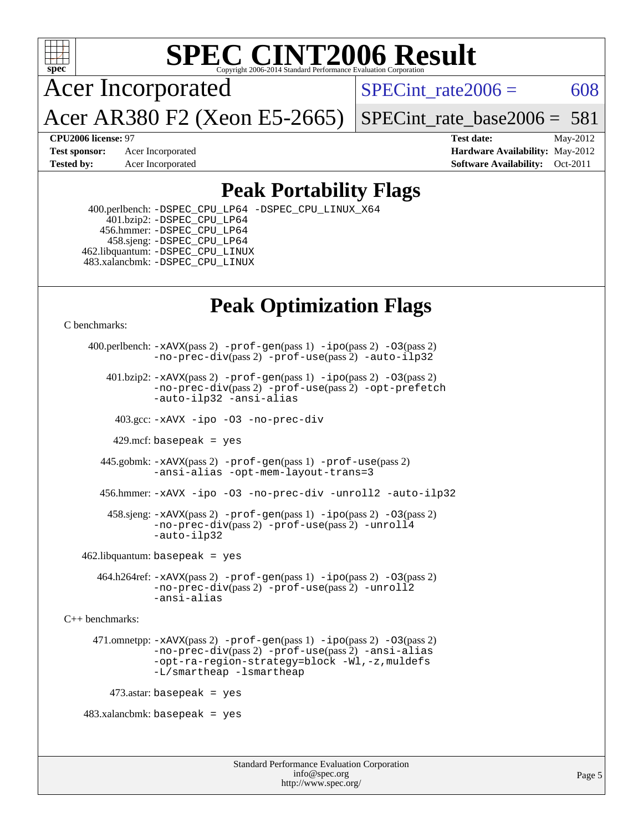

## **[SPEC CINT2006 Result](http://www.spec.org/auto/cpu2006/Docs/result-fields.html#SPECCINT2006Result)**

Acer Incorporated

SPECint rate $2006 = 608$ 

[SPECint\\_rate\\_base2006 =](http://www.spec.org/auto/cpu2006/Docs/result-fields.html#SPECintratebase2006)  $581$ 

**[CPU2006 license:](http://www.spec.org/auto/cpu2006/Docs/result-fields.html#CPU2006license)** 97 **[Test date:](http://www.spec.org/auto/cpu2006/Docs/result-fields.html#Testdate)** May-2012 **[Test sponsor:](http://www.spec.org/auto/cpu2006/Docs/result-fields.html#Testsponsor)** Acer Incorporated **[Hardware Availability:](http://www.spec.org/auto/cpu2006/Docs/result-fields.html#HardwareAvailability)** May-2012 **[Tested by:](http://www.spec.org/auto/cpu2006/Docs/result-fields.html#Testedby)** Acer Incorporated **[Software Availability:](http://www.spec.org/auto/cpu2006/Docs/result-fields.html#SoftwareAvailability)** Oct-2011

## **[Peak Portability Flags](http://www.spec.org/auto/cpu2006/Docs/result-fields.html#PeakPortabilityFlags)**

 400.perlbench: [-DSPEC\\_CPU\\_LP64](http://www.spec.org/cpu2006/results/res2012q3/cpu2006-20120525-22404.flags.html#b400.perlbench_peakCPORTABILITY_DSPEC_CPU_LP64) [-DSPEC\\_CPU\\_LINUX\\_X64](http://www.spec.org/cpu2006/results/res2012q3/cpu2006-20120525-22404.flags.html#b400.perlbench_peakCPORTABILITY_DSPEC_CPU_LINUX_X64) 401.bzip2: [-DSPEC\\_CPU\\_LP64](http://www.spec.org/cpu2006/results/res2012q3/cpu2006-20120525-22404.flags.html#suite_peakCPORTABILITY401_bzip2_DSPEC_CPU_LP64) 456.hmmer: [-DSPEC\\_CPU\\_LP64](http://www.spec.org/cpu2006/results/res2012q3/cpu2006-20120525-22404.flags.html#suite_peakCPORTABILITY456_hmmer_DSPEC_CPU_LP64) 458.sjeng: [-DSPEC\\_CPU\\_LP64](http://www.spec.org/cpu2006/results/res2012q3/cpu2006-20120525-22404.flags.html#suite_peakCPORTABILITY458_sjeng_DSPEC_CPU_LP64) 462.libquantum: [-DSPEC\\_CPU\\_LINUX](http://www.spec.org/cpu2006/results/res2012q3/cpu2006-20120525-22404.flags.html#b462.libquantum_peakCPORTABILITY_DSPEC_CPU_LINUX) 483.xalancbmk: [-DSPEC\\_CPU\\_LINUX](http://www.spec.org/cpu2006/results/res2012q3/cpu2006-20120525-22404.flags.html#b483.xalancbmk_peakCXXPORTABILITY_DSPEC_CPU_LINUX)

Acer AR380 F2 (Xeon E5-2665)

## **[Peak Optimization Flags](http://www.spec.org/auto/cpu2006/Docs/result-fields.html#PeakOptimizationFlags)**

[C benchmarks](http://www.spec.org/auto/cpu2006/Docs/result-fields.html#Cbenchmarks):

```
 400.perlbench: -xAVX(pass 2) -prof-gen(pass 1) -ipo(pass 2) -O3(pass 2)
                -no-prec-div(pass 2) -prof-use(pass 2) -auto-ilp32
        401.bzip2: -xAVX(pass 2) -prof-gen(pass 1) -ipo(pass 2) -O3(pass 2)
                -no-prec-div(pass 2) -prof-use(pass 2) -opt-prefetch
                -auto-ilp32 -ansi-alias
          403.gcc: -xAVX -ipo -O3 -no-prec-div
         429.mcf: basepeak = yes
       445.gobmk: -xAVX(pass 2) -prof-gen(pass 1) -prof-use(pass 2)
                -ansi-alias -opt-mem-layout-trans=3
       456.hmmer: -xAVX -ipo -O3 -no-prec-div -unroll2 -auto-ilp32
         458.sjeng: -xAVX(pass 2) -prof-gen(pass 1) -ipo(pass 2) -O3(pass 2)
                -no-prec-div(pass 2) -prof-use(pass 2) -unroll4
                -auto-ilp32
   462.libquantum: basepeak = yes
       464.h264ref: -xAVX(pass 2) -prof-gen(pass 1) -ipo(pass 2) -O3(pass 2)
                -no-prec-div(pass 2) -prof-use(pass 2) -unroll2
                -ansi-alias
C++ benchmarks: 
      471.omnetpp: -xAVX(pass 2) -prof-gen(pass 1) -ipo(pass 2) -O3(pass 2)
                -no-prec-div(pass 2) -prof-use(pass 2) -ansi-alias
                -opt-ra-region-strategy=block -Wl,-z,muldefs
                -L/smartheap -lsmartheap
        473.astar: basepeak = yes
   483.xalanchmk: basepeak = yes
```